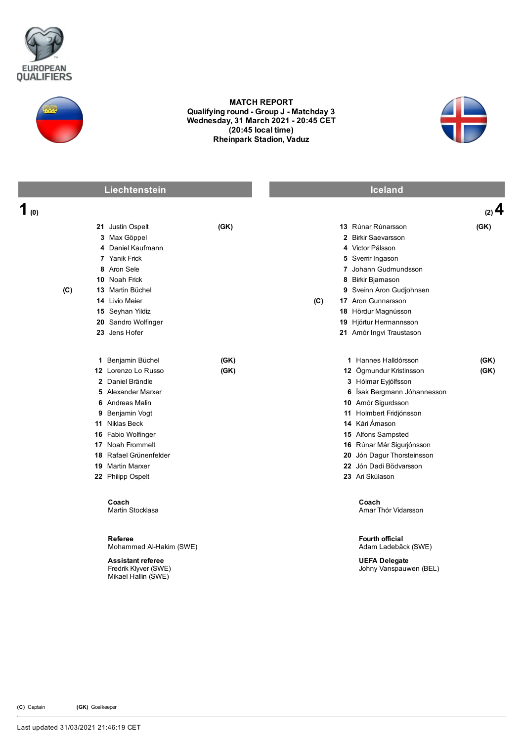



## MATCH REPORT Qualifying round - Group J - Matchday 3 Wednesday, 31 March 2021 20:45 CET (20:45 local time) Rheinpark Stadion, Vaduz



|            | Liechtenstein                                                           |      |     | <b>Iceland</b>                                 |         |
|------------|-------------------------------------------------------------------------|------|-----|------------------------------------------------|---------|
| 1 $\omega$ |                                                                         |      |     |                                                | $(2)$ 4 |
|            | 21 Justin Ospelt                                                        | (GK) |     | 13 Rúnar Rúnarsson                             | (GK)    |
|            | 3 Max Göppel                                                            |      |     | 2 Birkir Saevarsson                            |         |
|            | 4 Daniel Kaufmann                                                       |      |     | 4 Victor Pálsson                               |         |
|            | 7 Yanik Frick                                                           |      |     | 5 Sverrir Ingason                              |         |
|            | 8 Aron Sele                                                             |      |     | 7 Johann Gudmundsson                           |         |
|            | 10 Noah Frick                                                           |      |     | 8 Birkir Bjarnason                             |         |
| (C)        | 13 Martin Büchel                                                        |      |     | 9 Sveinn Aron Gudjohnsen                       |         |
|            | 14 Livio Meier                                                          |      | (C) | 17 Aron Gunnarsson                             |         |
|            | 15 Seyhan Yildiz                                                        |      |     | 18 Hördur Magnússon                            |         |
|            | 20 Sandro Wolfinger                                                     |      |     | 19 Hjörtur Hermannsson                         |         |
|            | 23 Jens Hofer                                                           |      |     | 21 Amór Ingvi Traustason                       |         |
|            | 1 Benjamin Büchel                                                       | (GK) |     | 1 Hannes Halldórsson                           | (GK)    |
|            | 12 Lorenzo Lo Russo                                                     | (GK) |     | 12 Ögmundur Kristinsson                        | (GK)    |
|            | 2 Daniel Brändle                                                        |      |     | 3 Hólmar Eyjólfsson                            |         |
|            | 5 Alexander Marxer                                                      |      |     | 6 Ísak Bergmann Jóhannesson                    |         |
|            | 6 Andreas Malin                                                         |      |     | 10 Amór Sigurdsson                             |         |
|            | 9 Benjamin Vogt                                                         |      |     | 11 Holmbert Fridjónsson                        |         |
|            | 11 Niklas Beck                                                          |      |     | 14 Kári Ámason                                 |         |
|            | 16 Fabio Wolfinger                                                      |      |     | 15 Alfons Sampsted                             |         |
|            | 17 Noah Frommelt                                                        |      |     | 16 Rúnar Már Sigurjónsson                      |         |
|            | 18 Rafael Grünenfelder                                                  |      |     | 20 Jón Dagur Thorsteinsson                     |         |
|            | <b>19</b> Martin Marxer                                                 |      |     | 22 Jón Dadi Bödvarsson                         |         |
|            | 22 Philipp Ospelt                                                       |      |     | 23 Ari Skúlason                                |         |
|            | Coach<br>Martin Stocklasa                                               |      |     | Coach<br>Amar Thór Vidarsson                   |         |
|            | Referee<br>Mohammed Al-Hakim (SWE)                                      |      |     | <b>Fourth official</b><br>Adam Ladebäck (SWE)  |         |
|            | <b>Assistant referee</b><br>Fredrik Klyver (SWE)<br>Mikael Hallin (SWE) |      |     | <b>UEFA Delegate</b><br>Johny Vanspauwen (BEL) |         |

(C) Captain (GK) Goalkeeper